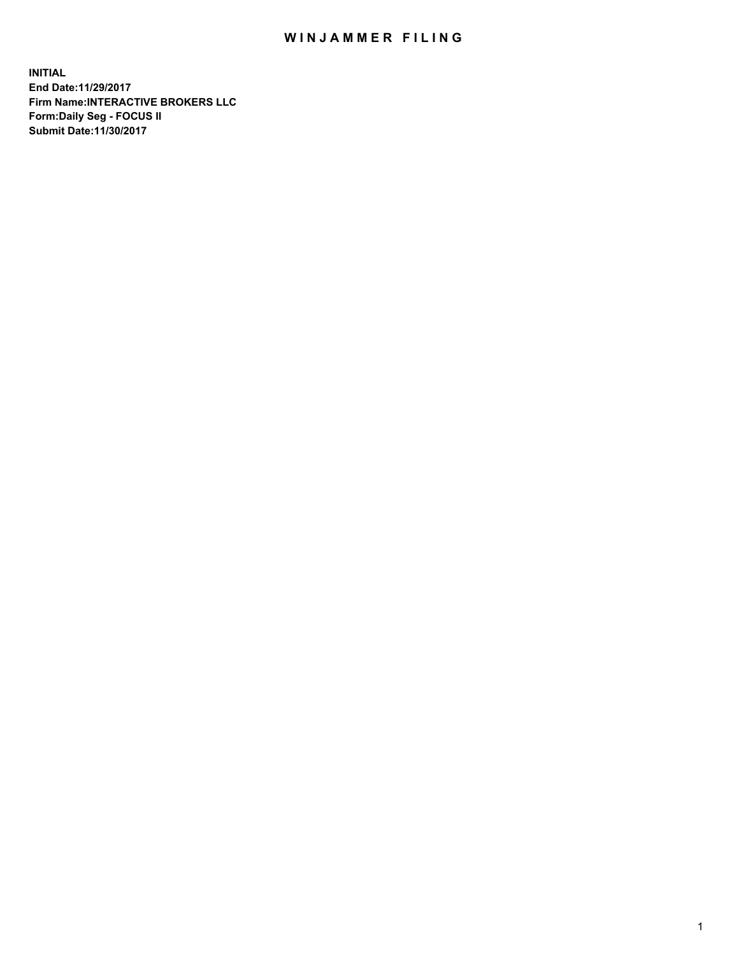## WIN JAMMER FILING

**INITIAL End Date:11/29/2017 Firm Name:INTERACTIVE BROKERS LLC Form:Daily Seg - FOCUS II Submit Date:11/30/2017**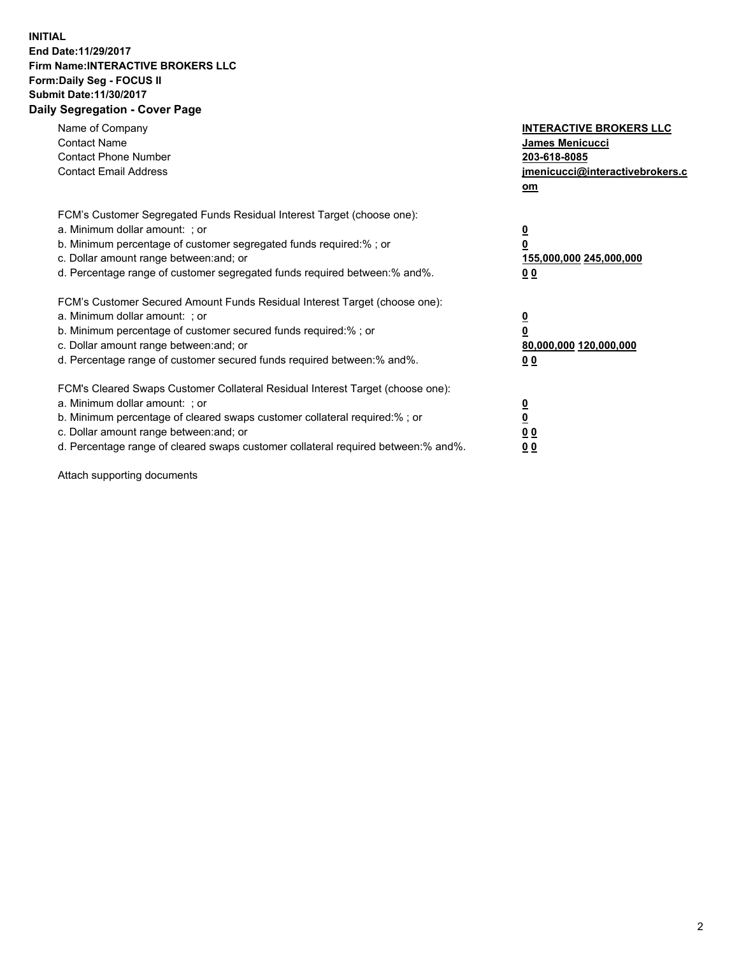## **INITIAL End Date:11/29/2017 Firm Name:INTERACTIVE BROKERS LLC Form:Daily Seg - FOCUS II Submit Date:11/30/2017 Daily Segregation - Cover Page**

| Name of Company<br><b>Contact Name</b><br><b>Contact Phone Number</b><br><b>Contact Email Address</b>                                                                                                                                                                                                                          | <b>INTERACTIVE BROKERS LLC</b><br><b>James Menicucci</b><br>203-618-8085<br>jmenicucci@interactivebrokers.c<br>om |
|--------------------------------------------------------------------------------------------------------------------------------------------------------------------------------------------------------------------------------------------------------------------------------------------------------------------------------|-------------------------------------------------------------------------------------------------------------------|
| FCM's Customer Segregated Funds Residual Interest Target (choose one):<br>a. Minimum dollar amount: ; or<br>b. Minimum percentage of customer segregated funds required:%; or<br>c. Dollar amount range between: and; or<br>d. Percentage range of customer segregated funds required between:% and%.                          | $\overline{\mathbf{0}}$<br>0<br>155,000,000 245,000,000<br>0 <sub>0</sub>                                         |
| FCM's Customer Secured Amount Funds Residual Interest Target (choose one):<br>a. Minimum dollar amount: ; or<br>b. Minimum percentage of customer secured funds required:%; or<br>c. Dollar amount range between: and; or<br>d. Percentage range of customer secured funds required between: % and %.                          | $\overline{\mathbf{0}}$<br>0<br>80,000,000 120,000,000<br>0 <sub>0</sub>                                          |
| FCM's Cleared Swaps Customer Collateral Residual Interest Target (choose one):<br>a. Minimum dollar amount: ; or<br>b. Minimum percentage of cleared swaps customer collateral required:% ; or<br>c. Dollar amount range between: and; or<br>d. Percentage range of cleared swaps customer collateral required between:% and%. | $\overline{\mathbf{0}}$<br>$\overline{\mathbf{0}}$<br>0 <sub>0</sub><br><u>00</u>                                 |

Attach supporting documents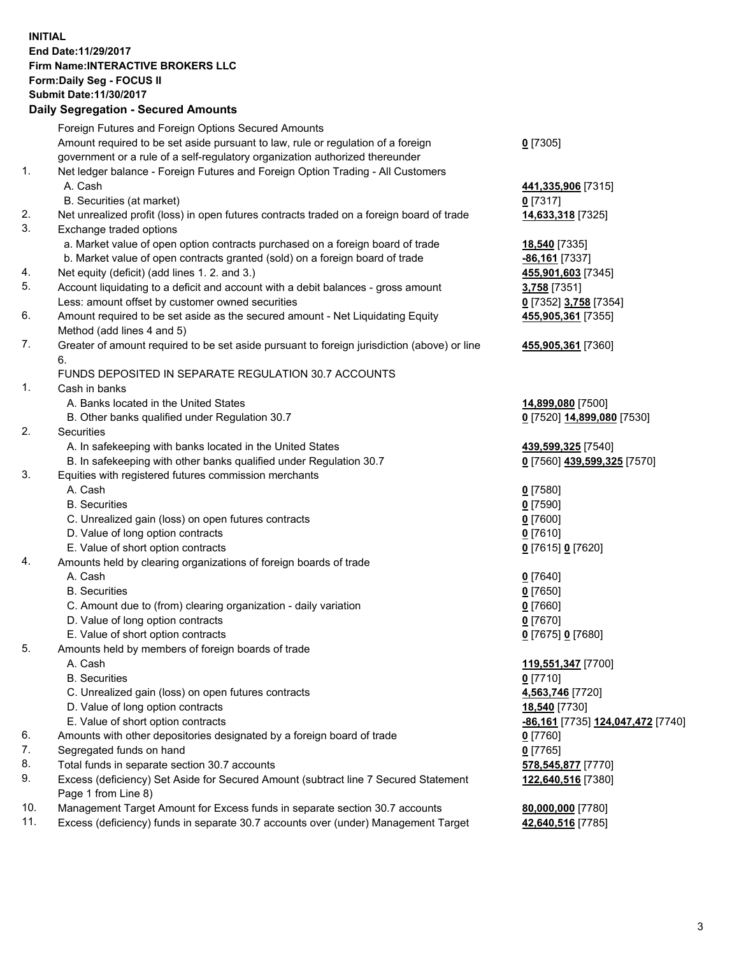## **INITIAL End Date:11/29/2017 Firm Name:INTERACTIVE BROKERS LLC Form:Daily Seg - FOCUS II Submit Date:11/30/2017 Daily Segregation - Secured Amounts**

|     | Daily Segregation - Secured Amounts                                                         |                                   |
|-----|---------------------------------------------------------------------------------------------|-----------------------------------|
|     | Foreign Futures and Foreign Options Secured Amounts                                         |                                   |
|     | Amount required to be set aside pursuant to law, rule or regulation of a foreign            | $0$ [7305]                        |
|     | government or a rule of a self-regulatory organization authorized thereunder                |                                   |
| 1.  | Net ledger balance - Foreign Futures and Foreign Option Trading - All Customers             |                                   |
|     | A. Cash                                                                                     | 441,335,906 [7315]                |
|     | B. Securities (at market)                                                                   | $0$ [7317]                        |
| 2.  | Net unrealized profit (loss) in open futures contracts traded on a foreign board of trade   | 14,633,318 [7325]                 |
| 3.  | Exchange traded options                                                                     |                                   |
|     | a. Market value of open option contracts purchased on a foreign board of trade              | 18,540 [7335]                     |
|     | b. Market value of open contracts granted (sold) on a foreign board of trade                | -86,161 [7337]                    |
| 4.  | Net equity (deficit) (add lines 1.2. and 3.)                                                | 455,901,603 [7345]                |
| 5.  | Account liquidating to a deficit and account with a debit balances - gross amount           | 3,758 [7351]                      |
|     | Less: amount offset by customer owned securities                                            | 0 [7352] 3,758 [7354]             |
| 6.  | Amount required to be set aside as the secured amount - Net Liquidating Equity              | 455,905,361 [7355]                |
|     | Method (add lines 4 and 5)                                                                  |                                   |
| 7.  | Greater of amount required to be set aside pursuant to foreign jurisdiction (above) or line | 455,905,361 [7360]                |
|     | 6.                                                                                          |                                   |
|     | FUNDS DEPOSITED IN SEPARATE REGULATION 30.7 ACCOUNTS                                        |                                   |
| 1.  | Cash in banks                                                                               |                                   |
|     | A. Banks located in the United States                                                       | 14,899,080 [7500]                 |
|     | B. Other banks qualified under Regulation 30.7                                              | 0 [7520] 14,899,080 [7530]        |
| 2.  | Securities                                                                                  |                                   |
|     | A. In safekeeping with banks located in the United States                                   | 439,599,325 [7540]                |
| 3.  | B. In safekeeping with other banks qualified under Regulation 30.7                          | 0 [7560] 439,599,325 [7570]       |
|     | Equities with registered futures commission merchants<br>A. Cash                            |                                   |
|     | <b>B.</b> Securities                                                                        | $0$ [7580]                        |
|     |                                                                                             | $0$ [7590]<br>$0$ [7600]          |
|     | C. Unrealized gain (loss) on open futures contracts<br>D. Value of long option contracts    | $0$ [7610]                        |
|     | E. Value of short option contracts                                                          | 0 [7615] 0 [7620]                 |
| 4.  | Amounts held by clearing organizations of foreign boards of trade                           |                                   |
|     | A. Cash                                                                                     | $0$ [7640]                        |
|     | <b>B.</b> Securities                                                                        | $0$ [7650]                        |
|     | C. Amount due to (from) clearing organization - daily variation                             | $0$ [7660]                        |
|     | D. Value of long option contracts                                                           | $0$ [7670]                        |
|     | E. Value of short option contracts                                                          | 0 [7675] 0 [7680]                 |
| 5.  | Amounts held by members of foreign boards of trade                                          |                                   |
|     | A. Cash                                                                                     | 119,551,347 [7700]                |
|     | <b>B.</b> Securities                                                                        | $0$ [7710]                        |
|     | C. Unrealized gain (loss) on open futures contracts                                         | 4,563,746 [7720]                  |
|     | D. Value of long option contracts                                                           | 18,540 [7730]                     |
|     | E. Value of short option contracts                                                          | -86,161 [7735] 124,047,472 [7740] |
| 6.  | Amounts with other depositories designated by a foreign board of trade                      | 0 [7760]                          |
| 7.  | Segregated funds on hand                                                                    | $0$ [7765]                        |
| 8.  | Total funds in separate section 30.7 accounts                                               | 578,545,877 [7770]                |
| 9.  | Excess (deficiency) Set Aside for Secured Amount (subtract line 7 Secured Statement         | 122,640,516 [7380]                |
|     | Page 1 from Line 8)                                                                         |                                   |
| 10. | Management Target Amount for Excess funds in separate section 30.7 accounts                 | 80,000,000 [7780]                 |
| 11. | Excess (deficiency) funds in separate 30.7 accounts over (under) Management Target          | 42,640,516 [7785]                 |
|     |                                                                                             |                                   |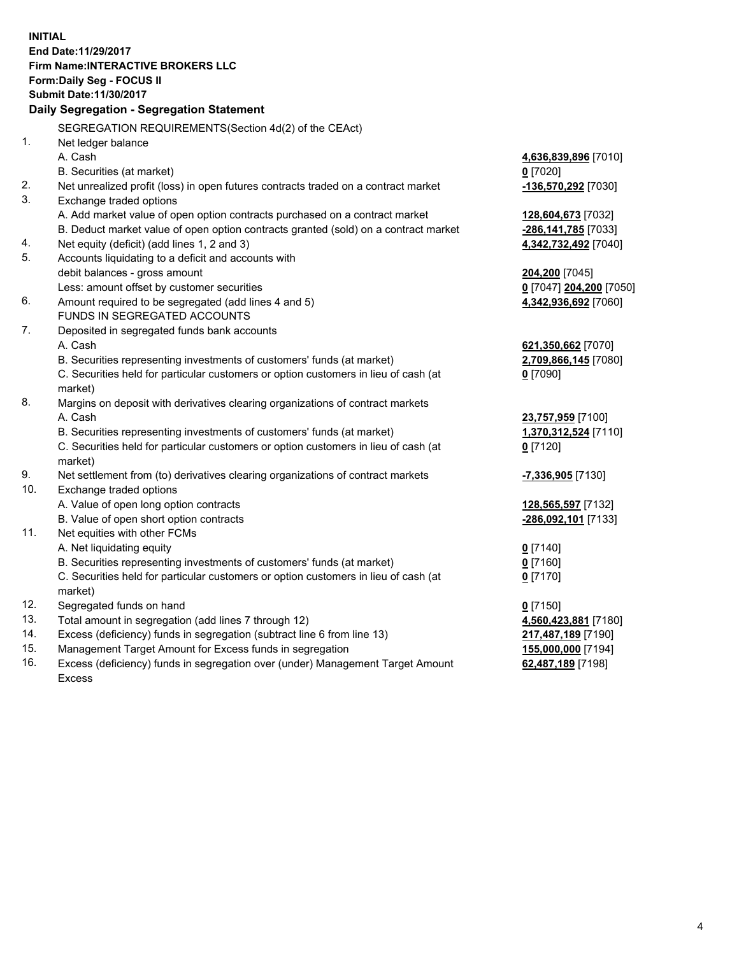**INITIAL End Date:11/29/2017 Firm Name:INTERACTIVE BROKERS LLC Form:Daily Seg - FOCUS II Submit Date:11/30/2017 Daily Segregation - Segregation Statement** SEGREGATION REQUIREMENTS(Section 4d(2) of the CEAct) 1. Net ledger balance A. Cash **4,636,839,896** [7010] B. Securities (at market) **0** [7020] 2. Net unrealized profit (loss) in open futures contracts traded on a contract market **-136,570,292** [7030] 3. Exchange traded options A. Add market value of open option contracts purchased on a contract market **128,604,673** [7032] B. Deduct market value of open option contracts granted (sold) on a contract market **-286,141,785** [7033] 4. Net equity (deficit) (add lines 1, 2 and 3) **4,342,732,492** [7040] 5. Accounts liquidating to a deficit and accounts with debit balances - gross amount **204,200** [7045] Less: amount offset by customer securities **0** [7047] **204,200** [7050] 6. Amount required to be segregated (add lines 4 and 5) **4,342,936,692** [7060] FUNDS IN SEGREGATED ACCOUNTS 7. Deposited in segregated funds bank accounts A. Cash **621,350,662** [7070] B. Securities representing investments of customers' funds (at market) **2,709,866,145** [7080] C. Securities held for particular customers or option customers in lieu of cash (at market) **0** [7090] 8. Margins on deposit with derivatives clearing organizations of contract markets A. Cash **23,757,959** [7100] B. Securities representing investments of customers' funds (at market) **1,370,312,524** [7110] C. Securities held for particular customers or option customers in lieu of cash (at market) **0** [7120] 9. Net settlement from (to) derivatives clearing organizations of contract markets **-7,336,905** [7130] 10. Exchange traded options A. Value of open long option contracts **128,565,597** [7132] B. Value of open short option contracts **-286,092,101** [7133] 11. Net equities with other FCMs A. Net liquidating equity **0** [7140] B. Securities representing investments of customers' funds (at market) **0** [7160] C. Securities held for particular customers or option customers in lieu of cash (at market) **0** [7170] 12. Segregated funds on hand **0** [7150] 13. Total amount in segregation (add lines 7 through 12) **4,560,423,881** [7180] 14. Excess (deficiency) funds in segregation (subtract line 6 from line 13) **217,487,189** [7190] 15. Management Target Amount for Excess funds in segregation **155,000,000** [7194] **62,487,189** [7198]

16. Excess (deficiency) funds in segregation over (under) Management Target Amount Excess